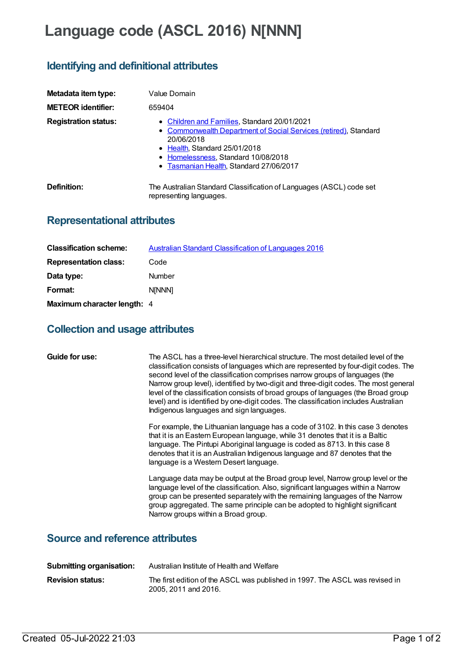# **Language code (ASCL 2016) N[NNN]**

## **Identifying and definitional attributes**

| Metadata item type:         | Value Domain                                                                                                                                                                                                                                      |
|-----------------------------|---------------------------------------------------------------------------------------------------------------------------------------------------------------------------------------------------------------------------------------------------|
| <b>METEOR identifier:</b>   | 659404                                                                                                                                                                                                                                            |
| <b>Registration status:</b> | • Children and Families, Standard 20/01/2021<br>• Commonwealth Department of Social Services (retired), Standard<br>20/06/2018<br>• Health, Standard 25/01/2018<br>• Homelessness, Standard 10/08/2018<br>• Tasmanian Health, Standard 27/06/2017 |
| Definition:                 | The Australian Standard Classification of Languages (ASCL) code set<br>representing languages.                                                                                                                                                    |

## **Representational attributes**

| <b>Classification scheme:</b> | Australian Standard Classification of Languages 2016 |
|-------------------------------|------------------------------------------------------|
| <b>Representation class:</b>  | Code                                                 |
| Data type:                    | Number                                               |
| Format:                       | <b>NINNNI</b>                                        |
| Maximum character length: 4   |                                                      |

#### **Collection and usage attributes**

| Guide for use: | The ASCL has a three-level hierarchical structure. The most detailed level of the<br>classification consists of languages which are represented by four-digit codes. The<br>second level of the classification comprises narrow groups of languages (the<br>Narrow group level), identified by two-digit and three-digit codes. The most general<br>level of the classification consists of broad groups of languages (the Broad group<br>level) and is identified by one-digit codes. The classification includes Australian<br>Indigenous languages and sign languages. |
|----------------|---------------------------------------------------------------------------------------------------------------------------------------------------------------------------------------------------------------------------------------------------------------------------------------------------------------------------------------------------------------------------------------------------------------------------------------------------------------------------------------------------------------------------------------------------------------------------|
|                | For example, the Lithuanian language has a code of 3102. In this case 3 denotes<br>that it is an Eastern European language, while 31 denotes that it is a Baltic<br>language. The Pintupi Aboriginal language is coded as 8713. In this case 8<br>denotes that it is an Australian Indigenous language and 87 denotes that the<br>language is a Western Desert language.                                                                                                                                                                                                  |
|                | Language data may be output at the Broad group level, Narrow group level or the<br>language level of the classification. Also, significant languages within a Narrow<br>group can be presented separately with the remaining languages of the Narrow<br>group aggregated. The same principle can be adopted to highlight significant<br>Narrow groups within a Broad group.                                                                                                                                                                                               |

### **Source and reference attributes**

| <b>Submitting organisation:</b> | Australian Institute of Health and Welfare                                                           |
|---------------------------------|------------------------------------------------------------------------------------------------------|
| <b>Revision status:</b>         | The first edition of the ASCL was published in 1997. The ASCL was revised in<br>2005, 2011 and 2016. |